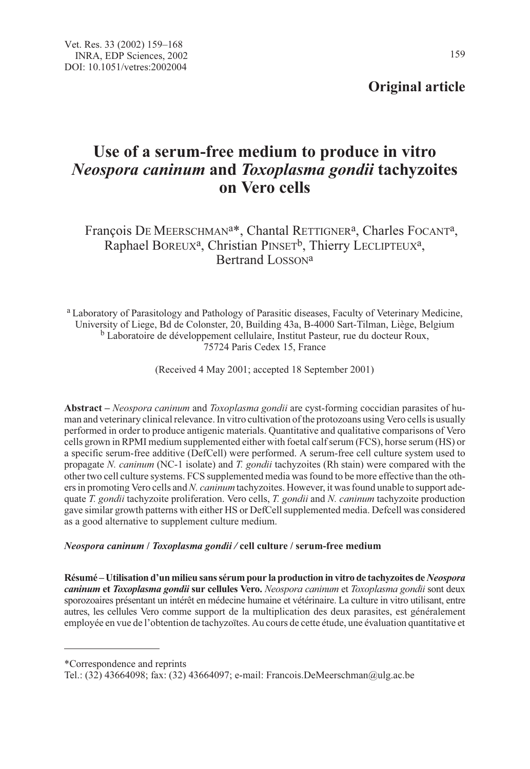## Original article

# Use of a serum-free medium to produce in vitro Neospora caninum and Toxoplasma gondii tachyzoites on Vero cells

François DE MEERSCHMAN<sup>a\*</sup>, Chantal RETTIGNER<sup>a</sup>, Charles FOCANT<sup>a</sup>, Raphael BOREUX<sup>a</sup>, Christian PINSET<sup>b</sup>, Thierry LECLIPTEUX<sup>a</sup>, Bertrand LOSSONa

<sup>a</sup> Laboratory of Parasitology and Pathology of Parasitic diseases, Faculty of Veterinary Medicine, University of Liege, Bd de Colonster, 20, Building 43a, B-4000 Sart-Tilman, Liège, Belgium <sup>b</sup> Laboratoire de développement cellulaire, Institut Pasteur, rue du docteur Roux, 75724 Paris Cedex 15, France

(Received 4 May 2001; accepted 18 September 2001)

Abstract – Neospora caninum and Toxoplasma gondii are cyst-forming coccidian parasites of human and veterinary clinical relevance. In vitro cultivation of the protozoans using Vero cells is usually performed in order to produce antigenic materials. Quantitative and qualitative comparisons of Vero cells grown in RPMI medium supplemented either with foetal calf serum (FCS), horse serum (HS) or a specific serum-free additive (DefCell) were performed. A serum-free cell culture system used to propagate N. caninum (NC-1 isolate) and T. gondii tachyzoites (Rh stain) were compared with the other two cell culture systems. FCS supplemented media was found to be more effective than the others in promoting Vero cells and N. *caninum* tachyzoites. However, it was found unable to support adequate T. gondii tachyzoite proliferation. Vero cells, T. gondii and N. caninum tachyzoite production gave similar growth patterns with either HS or DefCell supplemented media. Defcell was considered as a good alternative to supplement culture medium.

### Neospora caninum / Toxoplasma gondii / cell culture / serum-free medium

Résumé – Utilisation d'un milieu sans sérum pour la production in vitro de tachyzoites de Neospora caninum et Toxoplasma gondii sur cellules Vero. Neospora caninum et Toxoplasma gondii sont deux sporozoaires présentant un intérêt en médecine humaine et vétérinaire. La culture in vitro utilisant, entre autres, les cellules Vero comme support de la multiplication des deux parasites, est généralement employée en vue de l'obtention de tachyzoïtes. Au cours de cette étude, une évaluation quantitative et

<sup>\*</sup>Correspondence and reprints

Tel.: (32) 43664098; fax: (32) 43664097; e-mail: Francois.DeMeerschman@ulg.ac.be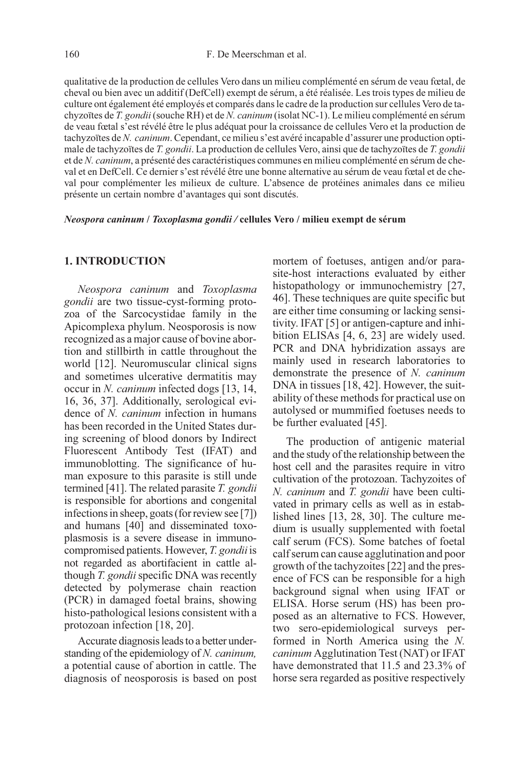qualitative de la production de cellules Vero dans un milieu complémenté en sérum de veau fœtal, de cheval ou bien avec un additif (DefCell) exempt de sérum, a été réalisée. Les trois types de milieu de culture ont également été employés et comparés dans le cadre de la production sur cellules Vero de tachyzoïtes de T. gondii (souche RH) et de N. caninum (isolat NC-1). Le milieu complémenté en sérum de veau fœtal s'est révélé être le plus adéquat pour la croissance de cellules Vero et la production de tachyzoïtes de N. caninum. Cependant, ce milieu s'est avéré incapable d'assurer une production optimale de tachyzoïtes de T. gondii. La production de cellules Vero, ainsi que de tachyzoïtes de T. gondii et de N. caninum, a présenté des caractéristiques communes en milieu complémenté en sérum de cheval et en DefCell. Ce dernier s'est révélé être une bonne alternative au sérum de veau fœtal et de cheval pour complémenter les milieux de culture. L'absence de protéines animales dans ce milieu présente un certain nombre d'avantages qui sont discutés.

Neospora caninum / Toxoplasma gondii / cellules Vero / milieu exempt de sérum

#### 1. INTRODUCTION

Neospora caninum and Toxoplasma gondii are two tissue-cyst-forming protozoa of the Sarcocystidae family in the Apicomplexa phylum. Neosporosis is now recognized as a major cause of bovine abortion and stillbirth in cattle throughout the world [12]. Neuromuscular clinical signs and sometimes ulcerative dermatitis may occur in N. caninum infected dogs [13, 14, 16, 36, 37]. Additionally, serological evidence of N. caninum infection in humans has been recorded in the United States during screening of blood donors by Indirect Fluorescent Antibody Test (IFAT) and immunoblotting. The significance of human exposure to this parasite is still unde termined [41]. The related parasite T. gondii is responsible for abortions and congenital infections in sheep, goats (for review see [7]) and humans [40] and disseminated toxoplasmosis is a severe disease in immunocompromised patients. However, T. gondii is not regarded as abortifacient in cattle although T. gondii specific DNA was recently detected by polymerase chain reaction (PCR) in damaged foetal brains, showing histo-pathological lesions consistent with a protozoan infection [18, 20].

Accurate diagnosis leads to a better understanding of the epidemiology of N. caninum, a potential cause of abortion in cattle. The diagnosis of neosporosis is based on post mortem of foetuses, antigen and/or parasite-host interactions evaluated by either histopathology or immunochemistry [27, 46]. These techniques are quite specific but are either time consuming or lacking sensitivity. IFAT [5] or antigen-capture and inhibition ELISAs [4, 6, 23] are widely used. PCR and DNA hybridization assays are mainly used in research laboratories to demonstrate the presence of N. caninum DNA in tissues [18, 42]. However, the suitability of these methods for practical use on autolysed or mummified foetuses needs to be further evaluated [45].

The production of antigenic material and the study of the relationship between the host cell and the parasites require in vitro cultivation of the protozoan. Tachyzoites of N. caninum and T. gondii have been cultivated in primary cells as well as in established lines [13, 28, 30]. The culture medium is usually supplemented with foetal calf serum (FCS). Some batches of foetal calf serum can cause agglutination and poor growth of the tachyzoites [22] and the presence of FCS can be responsible for a high background signal when using IFAT or ELISA. Horse serum (HS) has been proposed as an alternative to FCS. However, two sero-epidemiological surveys performed in North America using the N. caninum Agglutination Test (NAT) or IFAT have demonstrated that 11.5 and 23.3% of horse sera regarded as positive respectively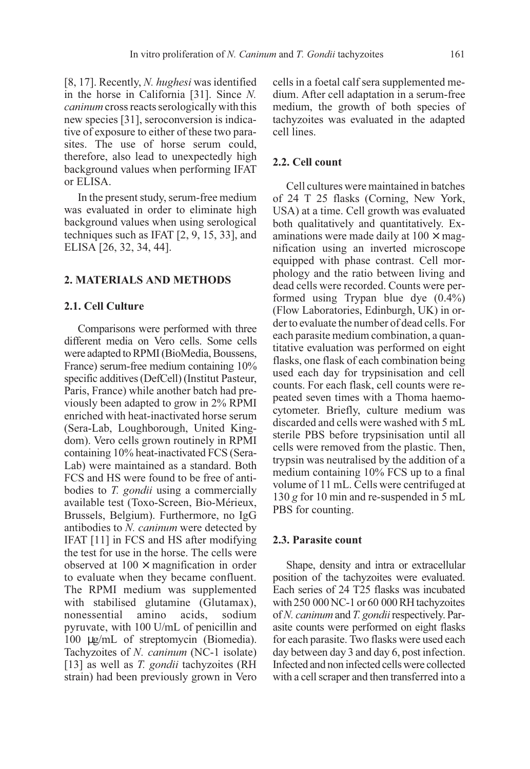[8, 17]. Recently, N. hughesi was identified in the horse in California [31]. Since N. caninum cross reacts serologically with this new species [31], seroconversion is indicative of exposure to either of these two parasites. The use of horse serum could, therefore, also lead to unexpectedly high background values when performing IFAT or ELISA.

In the present study, serum-free medium was evaluated in order to eliminate high background values when using serological techniques such as IFAT [2, 9, 15, 33], and ELISA [26, 32, 34, 44].

## 2. MATERIALS AND METHODS

## 2.1. Cell Culture

Comparisons were performed with three different media on Vero cells. Some cells were adapted to RPMI (BioMedia, Boussens, France) serum-free medium containing 10% specific additives (DefCell) (Institut Pasteur, Paris, France) while another batch had previously been adapted to grow in 2% RPMI enriched with heat-inactivated horse serum (Sera-Lab, Loughborough, United Kingdom). Vero cells grown routinely in RPMI containing 10% heat-inactivated FCS (Sera-Lab) were maintained as a standard. Both FCS and HS were found to be free of antibodies to T. gondii using a commercially available test (Toxo-Screen, Bio-Mérieux, Brussels, Belgium). Furthermore, no IgG antibodies to N. caninum were detected by IFAT [11] in FCS and HS after modifying the test for use in the horse. The cells were observed at  $100 \times$  magnification in order to evaluate when they became confluent. The RPMI medium was supplemented with stabilised glutamine (Glutamax), nonessential amino acids, sodium pyruvate, with 100 U/mL of penicillin and 100 µg/mL of streptomycin (Biomedia). Tachyzoites of N. caninum (NC-1 isolate) [13] as well as *T. gondii* tachyzoites (RH strain) had been previously grown in Vero

cells in a foetal calf sera supplemented medium. After cell adaptation in a serum-free medium, the growth of both species of tachyzoites was evaluated in the adapted cell lines.

## 2.2. Cell count

Cell cultures were maintained in batches of 24 T 25 flasks (Corning, New York, USA) at a time. Cell growth was evaluated both qualitatively and quantitatively. Examinations were made daily at  $100 \times$  magnification using an inverted microscope equipped with phase contrast. Cell morphology and the ratio between living and dead cells were recorded. Counts were performed using Trypan blue dye (0.4%) (Flow Laboratories, Edinburgh, UK) in order to evaluate the number of dead cells. For each parasite medium combination, a quantitative evaluation was performed on eight flasks, one flask of each combination being used each day for trypsinisation and cell counts. For each flask, cell counts were repeated seven times with a Thoma haemocytometer. Briefly, culture medium was discarded and cells were washed with 5 mL sterile PBS before trypsinisation until all cells were removed from the plastic. Then, trypsin was neutralised by the addition of a medium containing 10% FCS up to a final volume of 11 mL. Cells were centrifuged at 130 g for 10 min and re-suspended in 5 mL PBS for counting.

## 2.3. Parasite count

Shape, density and intra or extracellular position of the tachyzoites were evaluated. Each series of 24 T25 flasks was incubated with 250 000 NC-1 or 60 000 RH tachyzoites of N. caninum and T. gondii respectively. Parasite counts were performed on eight flasks for each parasite. Two flasks were used each day between day 3 and day 6, post infection. Infected and non infected cells were collected with a cell scraper and then transferred into a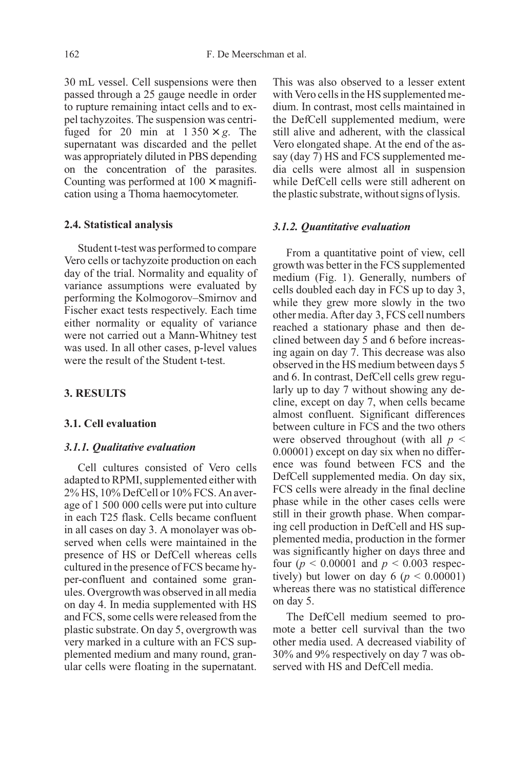30 mL vessel. Cell suspensions were then passed through a 25 gauge needle in order to rupture remaining intact cells and to expel tachyzoites. The suspension was centrifuged for 20 min at  $1.350 \times g$ . The supernatant was discarded and the pellet was appropriately diluted in PBS depending on the concentration of the parasites. Counting was performed at  $100 \times$  magnification using a Thoma haemocytometer.

#### 2.4. Statistical analysis

Student t-test was performed to compare Vero cells or tachyzoite production on each day of the trial. Normality and equality of variance assumptions were evaluated by performing the Kolmogorov–Smirnov and Fischer exact tests respectively. Each time either normality or equality of variance were not carried out a Mann-Whitney test was used. In all other cases, p-level values were the result of the Student t-test.

## 3. RESULTS

#### 3.1. Cell evaluation

#### 3.1.1. Qualitative evaluation

Cell cultures consisted of Vero cells adapted to RPMI, supplemented either with 2% HS, 10% DefCell or 10% FCS. An average of 1 500 000 cells were put into culture in each T25 flask. Cells became confluent in all cases on day 3. A monolayer was observed when cells were maintained in the presence of HS or DefCell whereas cells cultured in the presence of FCS became hyper-confluent and contained some granules. Overgrowth was observed in all media on day 4. In media supplemented with HS and FCS, some cells were released from the plastic substrate. On day 5, overgrowth was very marked in a culture with an FCS supplemented medium and many round, granular cells were floating in the supernatant. This was also observed to a lesser extent with Vero cells in the HS supplemented medium. In contrast, most cells maintained in the DefCell supplemented medium, were still alive and adherent, with the classical Vero elongated shape. At the end of the assay (day 7) HS and FCS supplemented media cells were almost all in suspension while DefCell cells were still adherent on the plastic substrate, without signs of lysis.

#### 3.1.2. Quantitative evaluation

From a quantitative point of view, cell growth was better in the FCS supplemented medium (Fig. 1). Generally, numbers of cells doubled each day in FCS up to day 3, while they grew more slowly in the two other media. After day 3, FCS cell numbers reached a stationary phase and then declined between day 5 and 6 before increasing again on day 7. This decrease was also observed in the HS medium between days 5 and 6. In contrast, DefCell cells grew regularly up to day 7 without showing any decline, except on day 7, when cells became almost confluent. Significant differences between culture in FCS and the two others were observed throughout (with all  $p \leq$ 0.00001) except on day six when no difference was found between FCS and the DefCell supplemented media. On day six, FCS cells were already in the final decline phase while in the other cases cells were still in their growth phase. When comparing cell production in DefCell and HS supplemented media, production in the former was significantly higher on days three and four ( $p < 0.00001$  and  $p < 0.003$  respectively) but lower on day  $6 (p \le 0.00001)$ whereas there was no statistical difference on day 5.

The DefCell medium seemed to promote a better cell survival than the two other media used. A decreased viability of 30% and 9% respectively on day 7 was observed with HS and DefCell media.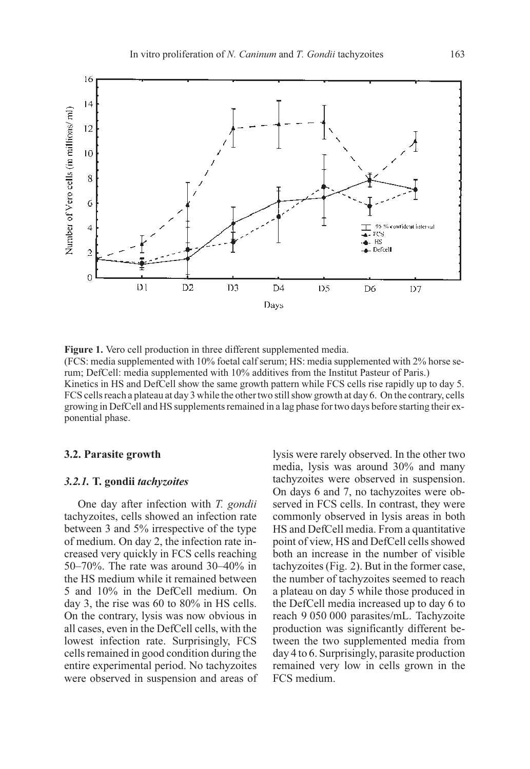

Figure 1. Vero cell production in three different supplemented media. (FCS: media supplemented with 10% foetal calf serum; HS: media supplemented with 2% horse serum; DefCell: media supplemented with 10% additives from the Institut Pasteur of Paris.) Kinetics in HS and DefCell show the same growth pattern while FCS cells rise rapidly up to day 5. FCS cells reach a plateau at day 3 while the other two still show growth at day 6. On the contrary, cells growing in DefCell and HS supplements remained in a lag phase for two days before starting their exponential phase.

#### 3.2. Parasite growth

#### 3.2.1. T. gondii tachyzoites

One day after infection with T. gondii tachyzoites, cells showed an infection rate between 3 and 5% irrespective of the type of medium. On day 2, the infection rate increased very quickly in FCS cells reaching 50–70%. The rate was around 30–40% in the HS medium while it remained between 5 and 10% in the DefCell medium. On day 3, the rise was 60 to 80% in HS cells. On the contrary, lysis was now obvious in all cases, even in the DefCell cells, with the lowest infection rate. Surprisingly, FCS cells remained in good condition during the entire experimental period. No tachyzoites were observed in suspension and areas of lysis were rarely observed. In the other two media, lysis was around 30% and many tachyzoites were observed in suspension. On days 6 and 7, no tachyzoites were observed in FCS cells. In contrast, they were commonly observed in lysis areas in both HS and DefCell media. From a quantitative point of view, HS and DefCell cells showed both an increase in the number of visible tachyzoites (Fig. 2). But in the former case, the number of tachyzoites seemed to reach a plateau on day 5 while those produced in the DefCell media increased up to day 6 to reach 9 050 000 parasites/mL. Tachyzoite production was significantly different between the two supplemented media from day 4 to 6. Surprisingly, parasite production remained very low in cells grown in the FCS medium.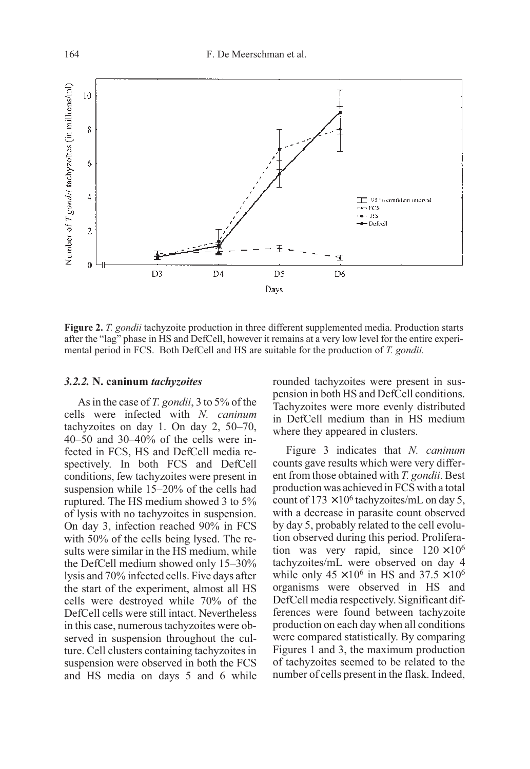

Figure 2. T. gondii tachyzoite production in three different supplemented media. Production starts after the "lag" phase in HS and DefCell, however it remains at a very low level for the entire experimental period in FCS. Both DefCell and HS are suitable for the production of T. gondii.

#### 3.2.2. N. caninum tachyzoites

As in the case of T. gondii, 3 to 5% of the cells were infected with N. caninum tachyzoites on day 1. On day 2, 50–70, 40–50 and 30–40% of the cells were infected in FCS, HS and DefCell media respectively. In both FCS and DefCell conditions, few tachyzoites were present in suspension while 15–20% of the cells had ruptured. The HS medium showed 3 to 5% of lysis with no tachyzoites in suspension. On day 3, infection reached 90% in FCS with 50% of the cells being lysed. The results were similar in the HS medium, while the DefCell medium showed only 15–30% lysis and 70% infected cells. Five days after the start of the experiment, almost all HS cells were destroyed while 70% of the DefCell cells were still intact. Nevertheless in this case, numerous tachyzoites were observed in suspension throughout the culture. Cell clusters containing tachyzoites in suspension were observed in both the FCS and HS media on days 5 and 6 while rounded tachyzoites were present in suspension in both HS and DefCell conditions. Tachyzoites were more evenly distributed in DefCell medium than in HS medium where they appeared in clusters.

Figure 3 indicates that N. caninum counts gave results which were very different from those obtained with T. gondii. Best production was achieved in FCS with a total count of  $173 \times 10^6$  tachyzoites/mL on day 5, with a decrease in parasite count observed by day 5, probably related to the cell evolution observed during this period. Proliferation was very rapid, since  $120 \times 10^6$ tachyzoites/mL were observed on day 4 while only  $45 \times 10^6$  in HS and  $37.5 \times 10^6$ organisms were observed in HS and DefCell media respectively. Significant differences were found between tachyzoite production on each day when all conditions were compared statistically. By comparing Figures 1 and 3, the maximum production of tachyzoites seemed to be related to the number of cells present in the flask. Indeed,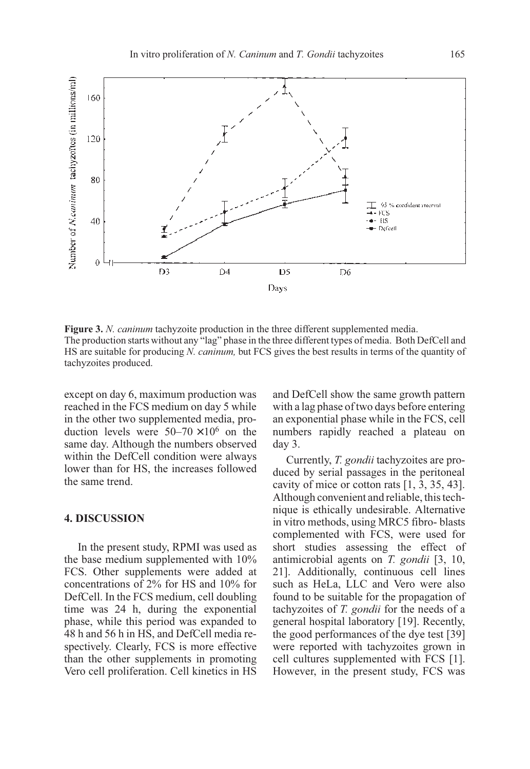

Figure 3. N. *caninum* tachyzoite production in the three different supplemented media. The production starts without any "lag" phase in the three different types of media. Both DefCell and HS are suitable for producing N. caninum, but FCS gives the best results in terms of the quantity of tachyzoites produced.

except on day 6, maximum production was reached in the FCS medium on day 5 while in the other two supplemented media, production levels were  $50-70 \times 10^6$  on the same day. Although the numbers observed within the DefCell condition were always lower than for HS, the increases followed the same trend.

## 4. DISCUSSION

In the present study, RPMI was used as the base medium supplemented with 10% FCS. Other supplements were added at concentrations of 2% for HS and 10% for DefCell. In the FCS medium, cell doubling time was 24 h, during the exponential phase, while this period was expanded to 48 h and 56 h in HS, and DefCell media respectively. Clearly, FCS is more effective than the other supplements in promoting Vero cell proliferation. Cell kinetics in HS and DefCell show the same growth pattern with a lag phase of two days before entering an exponential phase while in the FCS, cell numbers rapidly reached a plateau on day 3.

Currently, T. gondii tachyzoites are produced by serial passages in the peritoneal cavity of mice or cotton rats [1, 3, 35, 43]. Although convenient and reliable, this technique is ethically undesirable. Alternative in vitro methods, using MRC5 fibro- blasts complemented with FCS, were used for short studies assessing the effect of antimicrobial agents on T. gondii [3, 10, 21]. Additionally, continuous cell lines such as HeLa, LLC and Vero were also found to be suitable for the propagation of tachyzoites of T. gondii for the needs of a general hospital laboratory [19]. Recently, the good performances of the dye test [39] were reported with tachyzoites grown in cell cultures supplemented with FCS [1]. However, in the present study, FCS was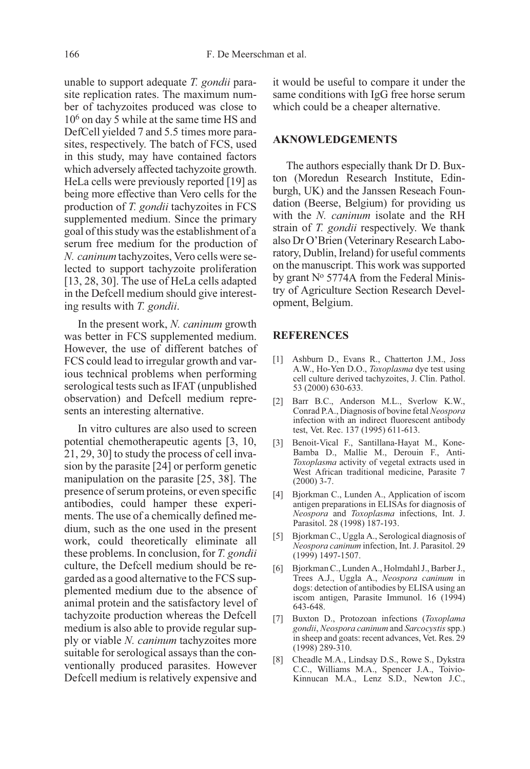unable to support adequate T. gondii parasite replication rates. The maximum number of tachyzoites produced was close to 106 on day 5 while at the same time HS and DefCell yielded 7 and 5.5 times more parasites, respectively. The batch of FCS, used in this study, may have contained factors which adversely affected tachyzoite growth. HeLa cells were previously reported [19] as being more effective than Vero cells for the production of T. gondii tachyzoites in FCS supplemented medium. Since the primary goal of this study was the establishment of a serum free medium for the production of N. caninum tachyzoites, Vero cells were selected to support tachyzoite proliferation [13, 28, 30]. The use of HeLa cells adapted in the Defcell medium should give interesting results with T. gondii.

In the present work, N. caninum growth was better in FCS supplemented medium. However, the use of different batches of FCS could lead to irregular growth and various technical problems when performing serological tests such as IFAT (unpublished observation) and Defcell medium represents an interesting alternative.

In vitro cultures are also used to screen potential chemotherapeutic agents [3, 10, 21, 29, 30] to study the process of cell invasion by the parasite [24] or perform genetic manipulation on the parasite [25, 38]. The presence of serum proteins, or even specific antibodies, could hamper these experiments. The use of a chemically defined medium, such as the one used in the present work, could theoretically eliminate all these problems. In conclusion, for T. gondii culture, the Defcell medium should be regarded as a good alternative to the FCS supplemented medium due to the absence of animal protein and the satisfactory level of tachyzoite production whereas the Defcell medium is also able to provide regular supply or viable N. caninum tachyzoites more suitable for serological assays than the conventionally produced parasites. However Defcell medium is relatively expensive and it would be useful to compare it under the same conditions with IgG free horse serum which could be a cheaper alternative.

## AKNOWLEDGEMENTS

The authors especially thank Dr D. Buxton (Moredun Research Institute, Edinburgh, UK) and the Janssen Reseach Foundation (Beerse, Belgium) for providing us with the N. *caninum* isolate and the RH strain of T. gondii respectively. We thank also Dr O'Brien (Veterinary Research Laboratory, Dublin, Ireland) for useful comments on the manuscript. This work was supported by grant Nº 5774A from the Federal Ministry of Agriculture Section Research Development, Belgium.

#### REFERENCES

- [1] Ashburn D., Evans R., Chatterton J.M., Joss A.W., Ho-Yen D.O., Toxoplasma dye test using cell culture derived tachyzoites, J. Clin. Pathol. 53 (2000) 630-633.
- [2] Barr B.C., Anderson M.L., Sverlow K.W., Conrad P.A., Diagnosis of bovine fetal Neospora infection with an indirect fluorescent antibody test, Vet. Rec. 137 (1995) 611-613.
- [3] Benoit-Vical F., Santillana-Hayat M., Kone-Bamba D., Mallie M., Derouin F., Anti-Toxoplasma activity of vegetal extracts used in West African traditional medicine, Parasite 7 (2000) 3-7.
- [4] Bjorkman C., Lunden A., Application of iscom antigen preparations in ELISAs for diagnosis of Neospora and Toxoplasma infections, Int. J. Parasitol. 28 (1998) 187-193.
- [5] Bjorkman C., Uggla A., Serological diagnosis of Neospora caninum infection, Int. J. Parasitol. 29 (1999) 1497-1507.
- [6] Bjorkman C., Lunden A., Holmdahl J., Barber J., Trees A.J., Uggla A., Neospora caninum in dogs: detection of antibodies by ELISA using an iscom antigen, Parasite Immunol. 16 (1994) 643-648.
- [7] Buxton D., Protozoan infections (Toxoplama gondii, Neospora caninum and Sarcocystis spp.) in sheep and goats: recent advances, Vet. Res. 29 (1998) 289-310.
- [8] Cheadle M.A., Lindsay D.S., Rowe S., Dykstra C.C., Williams M.A., Spencer J.A., Toivio-Kinnucan M.A., Lenz S.D., Newton J.C.,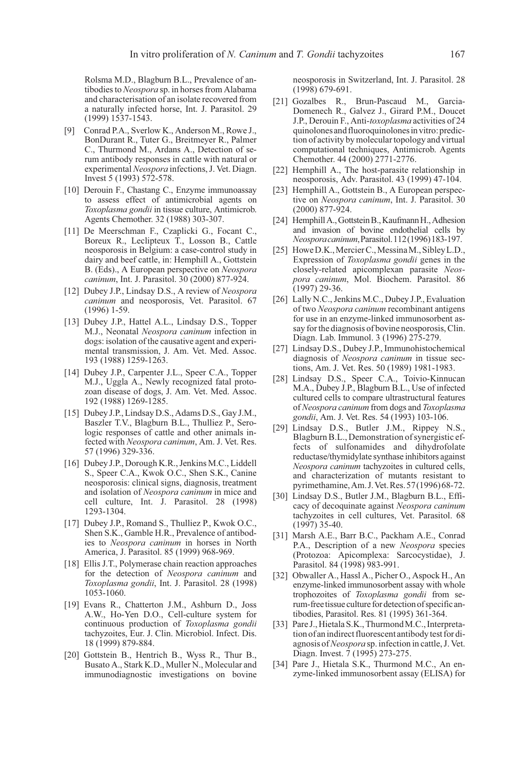Rolsma M.D., Blagburn B.L., Prevalence of antibodies to Neospora sp. in horses from Alabama and characterisation of an isolate recovered from a naturally infected horse, Int. J. Parasitol. 29 (1999) 1537-1543.

- [9] Conrad P.A., Sverlow K., Anderson M., Rowe J., BonDurant R., Tuter G., Breitmeyer R., Palmer C., Thurmond M., Ardans A., Detection of serum antibody responses in cattle with natural or experimental Neospora infections, J. Vet. Diagn. Invest 5 (1993) 572-578.
- [10] Derouin F., Chastang C., Enzyme immunoassay to assess effect of antimicrobial agents on Toxoplasma gondii in tissue culture, Antimicrob. Agents Chemother. 32 (1988) 303-307.
- [11] De Meerschman F., Czaplicki G., Focant C., Boreux R., Leclipteux T., Losson B., Cattle neosporosis in Belgium: a case-control study in dairy and beef cattle, in: Hemphill A., Gottstein B. (Eds)., A European perspective on Neospora caninum, Int. J. Parasitol. 30 (2000) 877-924.
- [12] Dubey J.P., Lindsay D.S., A review of Neospora caninum and neosporosis, Vet. Parasitol. 67 (1996) 1-59.
- [13] Dubey J.P., Hattel A.L., Lindsay D.S., Topper M.J., Neonatal Neospora caninum infection in dogs: isolation of the causative agent and experimental transmission, J. Am. Vet. Med. Assoc. 193 (1988) 1259-1263.
- [14] Dubey J.P., Carpenter J.L., Speer C.A., Topper M.J., Uggla A., Newly recognized fatal protozoan disease of dogs, J. Am. Vet. Med. Assoc. 192 (1988) 1269-1285.
- [15] Dubey J.P., Lindsay D.S., Adams D.S., Gay J.M., Baszler T.V., Blagburn B.L., Thulliez P., Serologic responses of cattle and other animals infected with Neospora caninum, Am. J. Vet. Res. 57 (1996) 329-336.
- [16] Dubey J.P., Dorough K.R., Jenkins M.C., Liddell S., Speer C.A., Kwok O.C., Shen S.K., Canine neosporosis: clinical signs, diagnosis, treatment and isolation of Neospora caninum in mice and cell culture, Int. J. Parasitol. 28 (1998) 1293-1304.
- [17] Dubey J.P., Romand S., Thulliez P., Kwok O.C., Shen S.K., Gamble H.R., Prevalence of antibodies to Neospora caninum in horses in North America, J. Parasitol. 85 (1999) 968-969.
- [18] Ellis J.T., Polymerase chain reaction approaches for the detection of Neospora caninum and Toxoplasma gondii, Int. J. Parasitol. 28 (1998) 1053-1060.
- [19] Evans R., Chatterton J.M., Ashburn D., Joss A.W., Ho-Yen D.O., Cell-culture system for continuous production of Toxoplasma gondii tachyzoites, Eur. J. Clin. Microbiol. Infect. Dis. 18 (1999) 879-884.
- [20] Gottstein B., Hentrich B., Wyss R., Thur B., Busato A., Stark K.D., Muller N., Molecular and immunodiagnostic investigations on bovine

neosporosis in Switzerland, Int. J. Parasitol. 28 (1998) 679-691.

- [21] Gozalbes R., Brun-Pascaud M., Garcia-Domenech R., Galvez J., Girard P.M., Doucet J.P., Derouin F., Anti-toxoplasma activities of 24 quinolones and fluoroquinolones in vitro: prediction of activity by molecular topology and virtual computational techniques, Antimicrob. Agents Chemother. 44 (2000) 2771-2776.
- [22] Hemphill A., The host-parasite relationship in neosporosis, Adv. Parasitol. 43 (1999) 47-104.
- [23] Hemphill A., Gottstein B., A European perspective on Neospora caninum, Int. J. Parasitol. 30 (2000) 877-924.
- [24] Hemphill A., Gottstein B., Kaufmann H., Adhesion and invasion of bovine endothelial cells by Neosporacaninum,Parasitol.112(1996)183-197.
- [25] Howe D.K., Mercier C., Messina M., Sibley L.D., Expression of Toxoplasma gondii genes in the closely-related apicomplexan parasite Neospora caninum, Mol. Biochem. Parasitol. 86 (1997) 29-36.
- [26] Lally N.C., Jenkins M.C., Dubey J.P., Evaluation of two Neospora caninum recombinant antigens for use in an enzyme-linked immunosorbent assay for the diagnosis of bovine neosporosis, Clin. Diagn. Lab. Immunol. 3 (1996) 275-279.
- [27] Lindsay D.S., Dubey J.P., Immunohistochemical diagnosis of Neospora caninum in tissue sections, Am. J. Vet. Res. 50 (1989) 1981-1983.
- [28] Lindsay D.S., Speer C.A., Toivio-Kinnucan M.A., Dubey J.P., Blagburn B.L., Use of infected cultured cells to compare ultrastructural features of Neospora caninum from dogs and Toxoplasma gondii, Am. J. Vet. Res. 54 (1993) 103-106.
- [29] Lindsay D.S., Butler J.M., Rippey N.S., Blagburn B.L., Demonstration of synergistic effects of sulfonamides and dihydrofolate reductase/thymidylate synthase inhibitors against Neospora caninum tachyzoites in cultured cells, and characterization of mutants resistant to pyrimethamine,Am.J.Vet.Res.57(1996)68-72.
- [30] Lindsay D.S., Butler J.M., Blagburn B.L., Efficacy of decoquinate against Neospora caninum tachyzoites in cell cultures, Vet. Parasitol. 68 (1997) 35-40.
- [31] Marsh A.E., Barr B.C., Packham A.E., Conrad P.A., Description of a new Neospora species (Protozoa: Apicomplexa: Sarcocystidae), J. Parasitol. 84 (1998) 983-991.
- [32] Obwaller A., Hassl A., Picher O., Aspock H., An enzyme-linked immunosorbent assay with whole trophozoites of Toxoplasma gondii from serum-free tissue culture for detection of specific antibodies, Parasitol. Res. 81 (1995) 361-364.
- [33] Pare J., Hietala S.K., Thurmond M.C., Interpretation of an indirect fluorescent antibody test for diagnosis of Neospora sp. infection in cattle, J. Vet. Diagn. Invest. 7 (1995) 273-275.
- [34] Pare J., Hietala S.K., Thurmond M.C., An enzyme-linked immunosorbent assay (ELISA) for